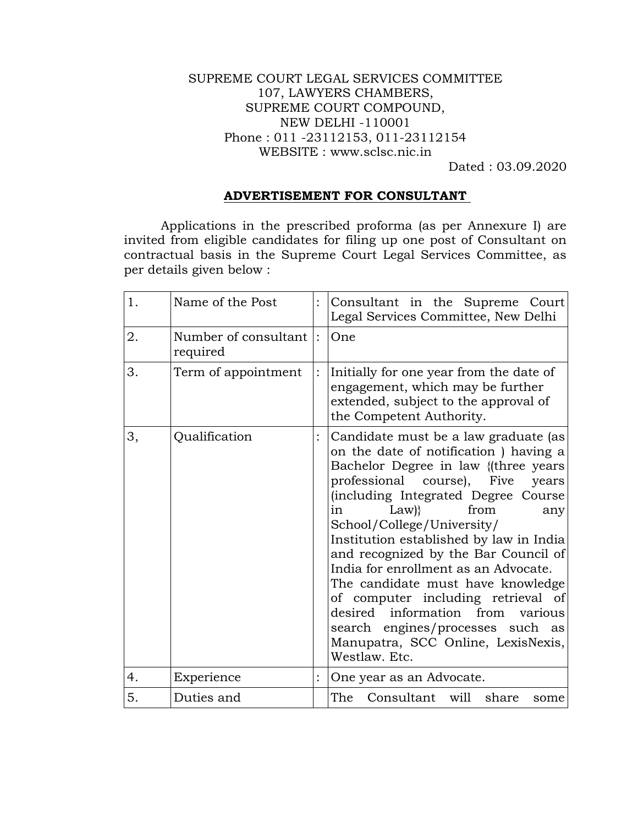## SUPREME COURT LEGAL SERVICES COMMITTEE 107, LAWYERS CHAMBERS, SUPREME COURT COMPOUND, NEW DELHI -110001 Phone : 011 -23112153, 011-23112154 WEBSITE : www.sclsc.nic.in

Dated : 03.09.2020

## **ADVERTISEMENT FOR CONSULTANT**

Applications in the prescribed proforma (as per Annexure I) are invited from eligible candidates for filing up one post of Consultant on contractual basis in the Supreme Court Legal Services Committee, as per details given below :

| 1. | Name of the Post                 |                | Consultant in the Supreme Court<br>Legal Services Committee, New Delhi                                                                                                                                                                                                                                                                                                                                                                                                                                                                                                                                           |
|----|----------------------------------|----------------|------------------------------------------------------------------------------------------------------------------------------------------------------------------------------------------------------------------------------------------------------------------------------------------------------------------------------------------------------------------------------------------------------------------------------------------------------------------------------------------------------------------------------------------------------------------------------------------------------------------|
| 2. | Number of consultant<br>required | $\ddot{\cdot}$ | One                                                                                                                                                                                                                                                                                                                                                                                                                                                                                                                                                                                                              |
| 3. | Term of appointment              |                | Initially for one year from the date of<br>engagement, which may be further<br>extended, subject to the approval of<br>the Competent Authority.                                                                                                                                                                                                                                                                                                                                                                                                                                                                  |
| 3, | Qualification                    |                | Candidate must be a law graduate (as<br>on the date of notification ) having a<br>Bachelor Degree in law {(three years<br>professional<br>course), Five<br>years<br>(including Integrated Degree Course<br>from<br>$Law$ }<br>in<br>any<br>School/College/University/<br>Institution established by law in India<br>and recognized by the Bar Council of<br>India for enrollment as an Advocate.<br>The candidate must have knowledge<br>of computer including retrieval of<br>desired information from<br>various<br>search engines/processes such<br>as<br>Manupatra, SCC Online, LexisNexis,<br>Westlaw. Etc. |
| 4. | Experience                       |                | One year as an Advocate.                                                                                                                                                                                                                                                                                                                                                                                                                                                                                                                                                                                         |
| 5. | Duties and                       |                | The<br>Consultant will<br>share<br>some                                                                                                                                                                                                                                                                                                                                                                                                                                                                                                                                                                          |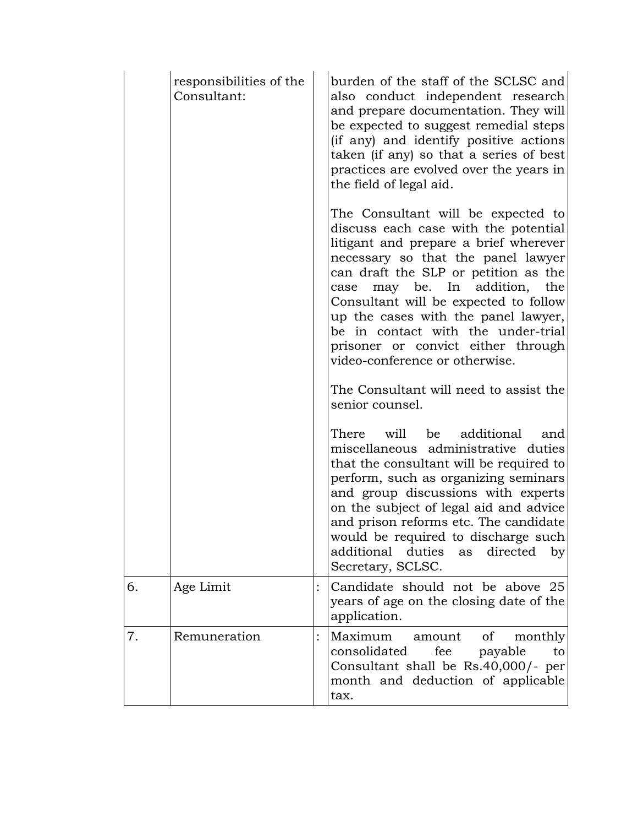|    | responsibilities of the<br>Consultant: | burden of the staff of the SCLSC and<br>also conduct independent research<br>and prepare documentation. They will<br>be expected to suggest remedial steps<br>(if any) and identify positive actions<br>taken (if any) so that a series of best<br>practices are evolved over the years in<br>the field of legal aid.                                                                                                               |
|----|----------------------------------------|-------------------------------------------------------------------------------------------------------------------------------------------------------------------------------------------------------------------------------------------------------------------------------------------------------------------------------------------------------------------------------------------------------------------------------------|
|    |                                        | The Consultant will be expected to<br>discuss each case with the potential<br>litigant and prepare a brief wherever<br>necessary so that the panel lawyer<br>can draft the SLP or petition as the<br>may be. In addition, the<br>case<br>Consultant will be expected to follow<br>up the cases with the panel lawyer,<br>be in contact with the under-trial<br>prisoner or convict either through<br>video-conference or otherwise. |
|    |                                        | The Consultant will need to assist the<br>senior counsel.                                                                                                                                                                                                                                                                                                                                                                           |
|    |                                        | There will<br>be<br>additional<br>and<br>miscellaneous administrative duties<br>that the consultant will be required to<br>perform, such as organizing seminars<br>and group discussions with experts<br>on the subject of legal aid and advice<br>and prison reforms etc. The candidate<br>would be required to discharge such<br>additional duties<br>directed<br>as<br>by <sub>l</sub><br>Secretary, SCLSC.                      |
| 6. | Age Limit                              | Candidate should not be above 25<br>years of age on the closing date of the<br>application.                                                                                                                                                                                                                                                                                                                                         |
| 7. | Remuneration                           | Maximum<br>amount<br>οf<br>monthly<br>consolidated<br>fee<br>payable<br>to<br>Consultant shall be Rs.40,000/- per<br>month and deduction of applicable<br>tax.                                                                                                                                                                                                                                                                      |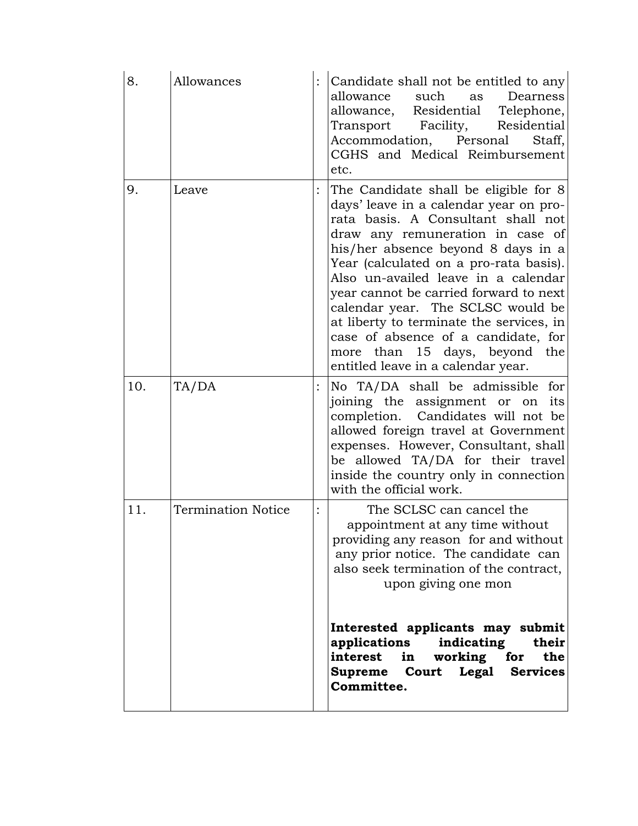| 8.  | Allowances                | Candidate shall not be entitled to any<br>allowance<br>such<br>Dearness<br>as<br>allowance, Residential Telephone,<br>Transport Facility,<br>Residential<br>Accommodation, Personal<br>Staff,<br>CGHS and Medical Reimbursement<br>etc.                                                                                                                                                                                                                                                                                   |
|-----|---------------------------|---------------------------------------------------------------------------------------------------------------------------------------------------------------------------------------------------------------------------------------------------------------------------------------------------------------------------------------------------------------------------------------------------------------------------------------------------------------------------------------------------------------------------|
| 9.  | Leave                     | The Candidate shall be eligible for 8<br>days' leave in a calendar year on pro-<br>rata basis. A Consultant shall not<br>draw any remuneration in case of<br>his/her absence beyond 8 days in a<br>Year (calculated on a pro-rata basis).<br>Also un-availed leave in a calendar<br>year cannot be carried forward to next<br>calendar year. The SCLSC would be<br>at liberty to terminate the services, in<br>case of absence of a candidate, for<br>more than 15 days, beyond the<br>entitled leave in a calendar year. |
| 10. | TA/DA                     | No TA/DA shall be admissible for<br>joining the assignment or on<br>its<br>completion. Candidates will not be<br>allowed foreign travel at Government<br>expenses. However, Consultant, shall<br>be allowed TA/DA for their travel<br>inside the country only in connection<br>with the official work.                                                                                                                                                                                                                    |
| 11. | <b>Termination Notice</b> | The SCLSC can cancel the<br>appointment at any time without<br>providing any reason for and without<br>any prior notice. The candidate can<br>also seek termination of the contract,<br>upon giving one mon                                                                                                                                                                                                                                                                                                               |
|     |                           | Interested applicants may submit<br>indicating<br>their<br>applications<br>interest in working for<br>the<br>Supreme Court Legal Services<br>Committee.                                                                                                                                                                                                                                                                                                                                                                   |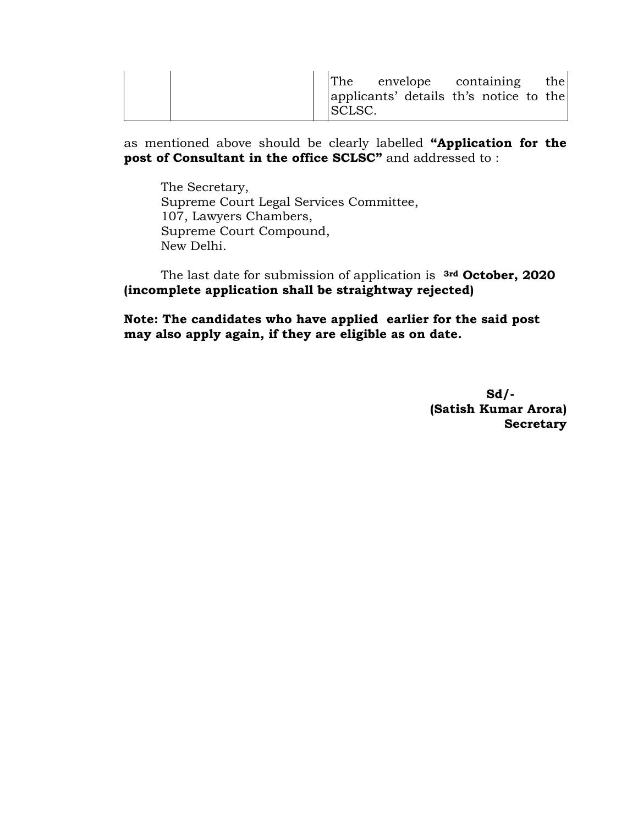|  | The envelope containing<br>applicants' details th's notice to the<br>SCLSC. | the |
|--|-----------------------------------------------------------------------------|-----|
|--|-----------------------------------------------------------------------------|-----|

as mentioned above should be clearly labelled **"Application for the post of Consultant in the office SCLSC"** and addressed to:

The Secretary, Supreme Court Legal Services Committee, 107, Lawyers Chambers, Supreme Court Compound, New Delhi.

The last date for submission of application is **3rd October, 2020 (incomplete application shall be straightway rejected)**

**Note: The candidates who have applied earlier for the said post may also apply again, if they are eligible as on date.**

> **Sd/- (Satish Kumar Arora) Secretary**